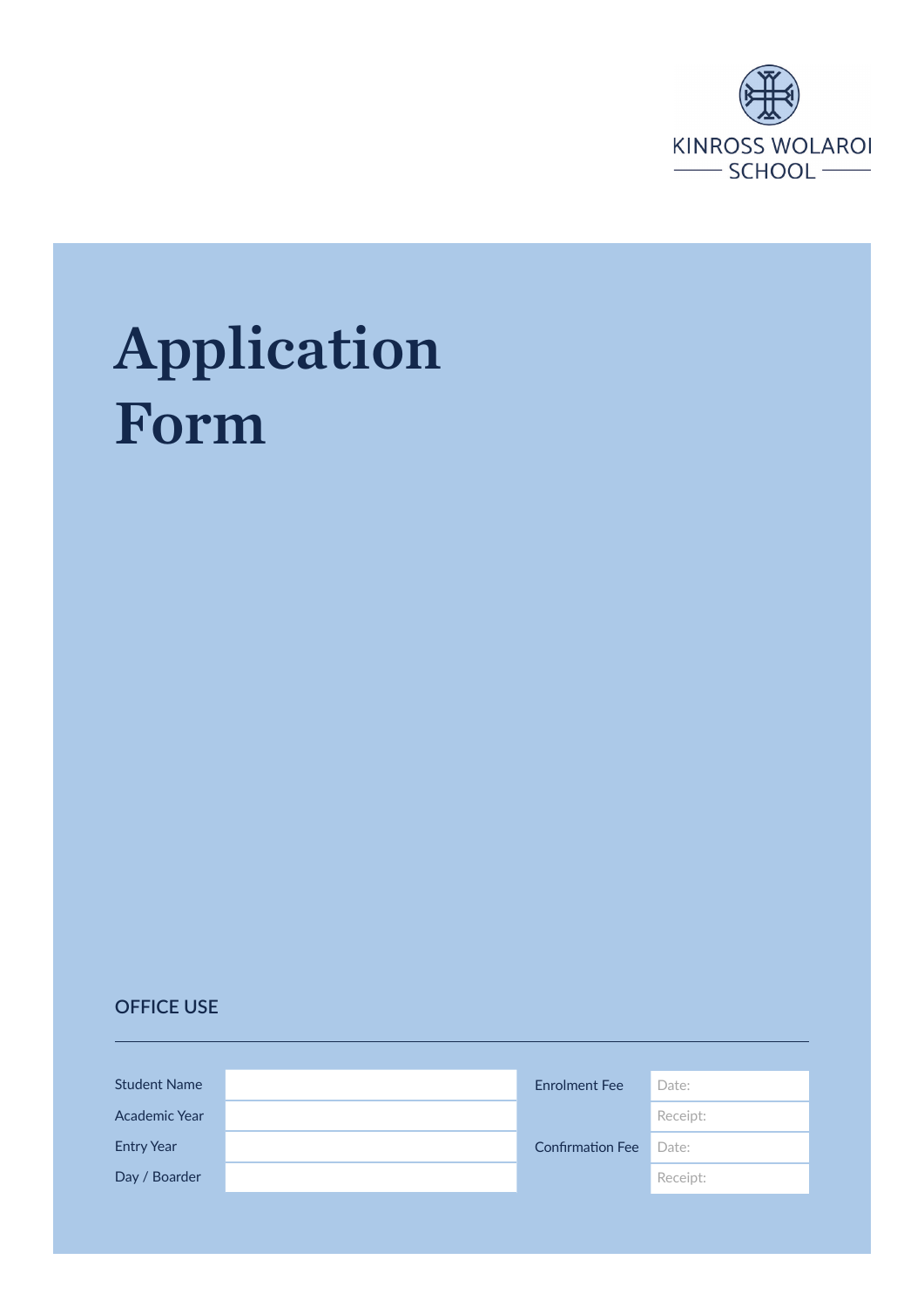

# Application Form

#### **OFFICE USE**

| <b>Student Name</b>  | <b>Enrolment Fee</b>    | Date:    |
|----------------------|-------------------------|----------|
| <b>Academic Year</b> |                         | Receipt: |
| <b>Entry Year</b>    | <b>Confirmation Fee</b> | Date:    |
| Day / Boarder        |                         | Receipt: |
|                      |                         |          |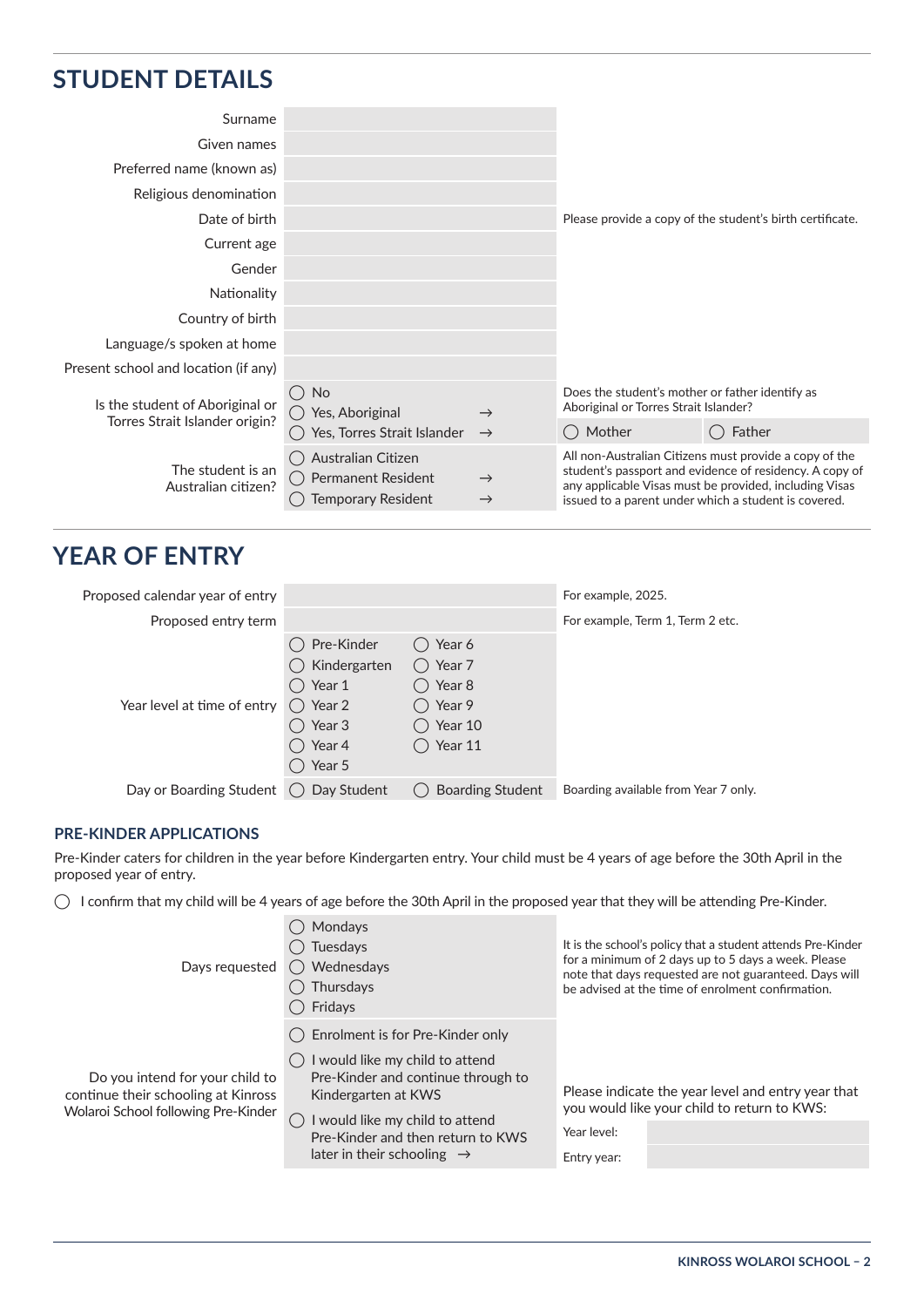# **STUDENT DETAILS**

| Surname                                  |                                                                       |                                |                                                                                          |                                                                                                                                                                                                                                     |  |
|------------------------------------------|-----------------------------------------------------------------------|--------------------------------|------------------------------------------------------------------------------------------|-------------------------------------------------------------------------------------------------------------------------------------------------------------------------------------------------------------------------------------|--|
| Given names                              |                                                                       |                                |                                                                                          |                                                                                                                                                                                                                                     |  |
| Preferred name (known as)                |                                                                       |                                |                                                                                          |                                                                                                                                                                                                                                     |  |
| Religious denomination                   |                                                                       |                                |                                                                                          |                                                                                                                                                                                                                                     |  |
| Date of birth                            |                                                                       |                                | Please provide a copy of the student's birth certificate.                                |                                                                                                                                                                                                                                     |  |
| Current age                              |                                                                       |                                |                                                                                          |                                                                                                                                                                                                                                     |  |
| Gender                                   |                                                                       |                                |                                                                                          |                                                                                                                                                                                                                                     |  |
| Nationality                              |                                                                       |                                |                                                                                          |                                                                                                                                                                                                                                     |  |
| Country of birth                         |                                                                       |                                |                                                                                          |                                                                                                                                                                                                                                     |  |
| Language/s spoken at home                |                                                                       |                                |                                                                                          |                                                                                                                                                                                                                                     |  |
| Present school and location (if any)     |                                                                       |                                |                                                                                          |                                                                                                                                                                                                                                     |  |
| Is the student of Aboriginal or          | <b>No</b><br>$($ )<br>Yes, Aboriginal<br>( )                          | $\rightarrow$                  | Does the student's mother or father identify as<br>Aboriginal or Torres Strait Islander? |                                                                                                                                                                                                                                     |  |
| Torres Strait Islander origin?           | Yes, Torres Strait Islander                                           | $\rightarrow$                  | () Mother                                                                                | Father                                                                                                                                                                                                                              |  |
| The student is an<br>Australian citizen? | Australian Citizen<br><b>Permanent Resident</b><br>Temporary Resident | $\rightarrow$<br>$\rightarrow$ |                                                                                          | All non-Australian Citizens must provide a copy of the<br>student's passport and evidence of residency. A copy of<br>any applicable Visas must be provided, including Visas<br>issued to a parent under which a student is covered. |  |

### **YEAR OF ENTRY**

| Proposed calendar year of entry                   |                                                                                  |                                                                                     | For example, 2025.                   |
|---------------------------------------------------|----------------------------------------------------------------------------------|-------------------------------------------------------------------------------------|--------------------------------------|
| Proposed entry term                               |                                                                                  |                                                                                     | For example, Term 1, Term 2 etc.     |
| Year level at time of entry $\binom{1}{2}$ Year 2 | Pre-Kinder<br>() Kindergarten<br>Year 1<br>Year 3<br>$\bigcirc$ Year 4<br>Year 5 | Year 6<br>$()$ Year 7<br>◯ Year 8<br>◯ Year 9<br>$()$ Year 10<br>$\bigcirc$ Year 11 |                                      |
| Day or Boarding Student                           | Day Student                                                                      | <b>Boarding Student</b>                                                             | Boarding available from Year 7 only. |

#### **PRE-KINDER APPLICATIONS**

Pre-Kinder caters for children in the year before Kindergarten entry. Your child must be 4 years of age before the 30th April in the proposed year of entry.

 $\bigcirc$  I confirm that my child will be 4 years of age before the 30th April in the proposed year that they will be attending Pre-Kinder.

| Days requested                                                                                                | Mondays<br>Tuesdays<br>() Wednesdays<br>Thursdays<br>Fridays                                                                                                                                              | It is the school's policy that a student attends Pre-Kinder<br>for a minimum of 2 days up to 5 days a week. Please<br>note that days requested are not guaranteed. Days will<br>be advised at the time of enrolment confirmation. |
|---------------------------------------------------------------------------------------------------------------|-----------------------------------------------------------------------------------------------------------------------------------------------------------------------------------------------------------|-----------------------------------------------------------------------------------------------------------------------------------------------------------------------------------------------------------------------------------|
| Do you intend for your child to<br>continue their schooling at Kinross<br>Wolaroi School following Pre-Kinder | () Enrolment is for Pre-Kinder only<br>I would like my child to attend<br>Pre-Kinder and continue through to<br>Kindergarten at KWS<br>would like my child to attend<br>Pre-Kinder and then return to KWS | Please indicate the year level and entry year that<br>you would like your child to return to KWS:<br>Year level:                                                                                                                  |
|                                                                                                               | later in their schooling $\rightarrow$                                                                                                                                                                    | Entry year:                                                                                                                                                                                                                       |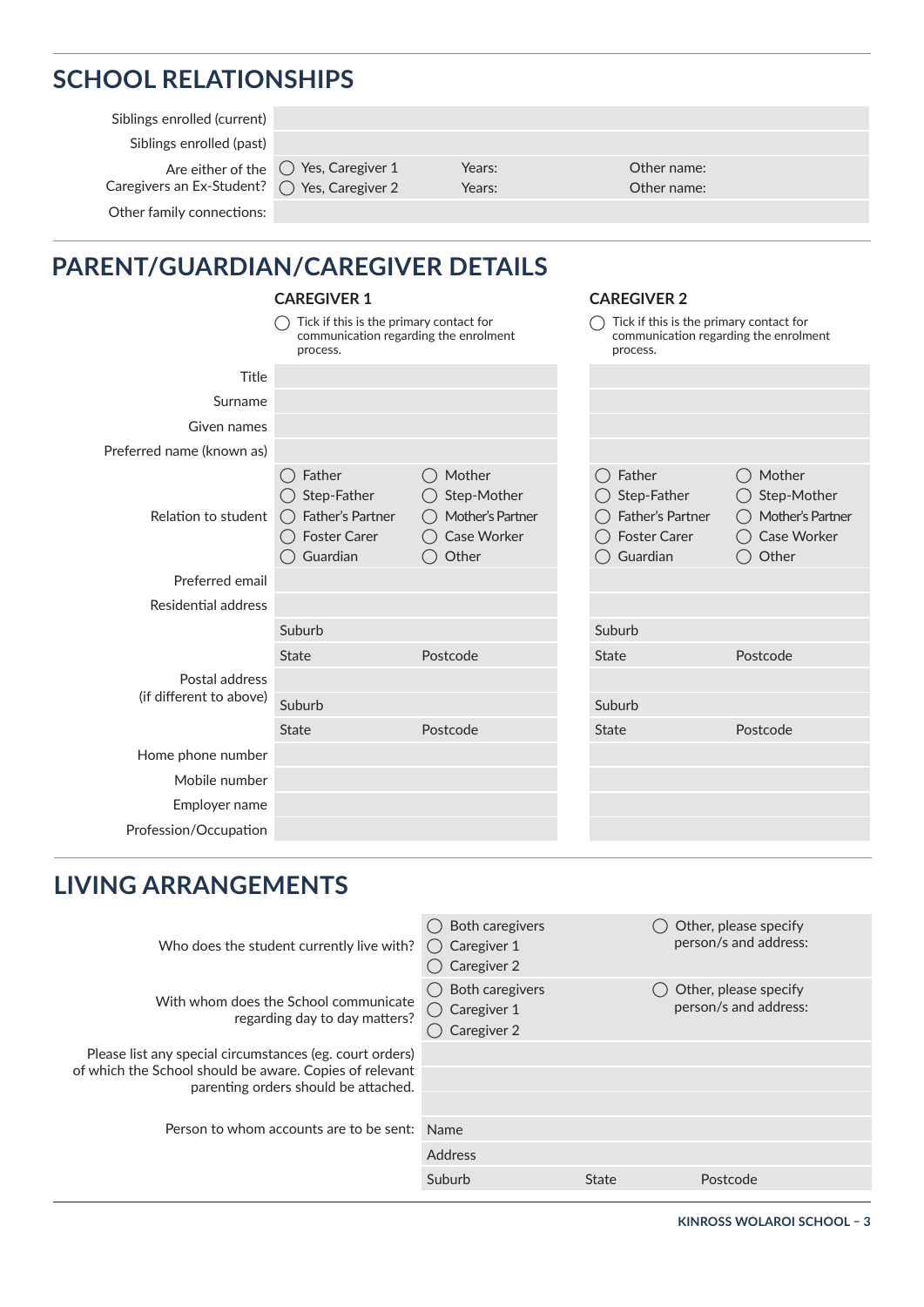# **SCHOOL RELATIONSHIPS**

Siblings enrolled (current)

Siblings enrolled (past)

Other family connections:

Are either of the  $\left\langle \right\rangle$  Yes, Caregiver 1 Caregivers an Ex-Student? ( Yes, Caregiver 2

Years: Years:

Other name: Other name:

# **PARENT/GUARDIAN/CAREGIVER DETAILS**

|                                                                                              | <b>CAREGIVER 1</b>                                                                                            |                                                                                              |                           | <b>CAREGIVER 2</b>                                     |                                                                            |  |
|----------------------------------------------------------------------------------------------|---------------------------------------------------------------------------------------------------------------|----------------------------------------------------------------------------------------------|---------------------------|--------------------------------------------------------|----------------------------------------------------------------------------|--|
| Tick if this is the primary contact for<br>communication regarding the enrolment<br>process. |                                                                                                               | Tick if this is the primary contact for<br>communication regarding the enrolment<br>process. |                           |                                                        |                                                                            |  |
| Title                                                                                        |                                                                                                               |                                                                                              |                           |                                                        |                                                                            |  |
| Surname                                                                                      |                                                                                                               |                                                                                              |                           |                                                        |                                                                            |  |
| Given names                                                                                  |                                                                                                               |                                                                                              |                           |                                                        |                                                                            |  |
| Preferred name (known as)                                                                    |                                                                                                               |                                                                                              |                           |                                                        |                                                                            |  |
| Relation to student                                                                          | Father<br>$\left( \quad \right)$<br>Step-Father<br>Father's Partner<br>( )<br><b>Foster Carer</b><br>Guardian | Mother<br>Step-Mother<br>Mother's Partner<br>Case Worker<br>Other                            | Father<br>( )<br>Guardian | Step-Father<br>Father's Partner<br><b>Foster Carer</b> | Mother<br>$($ )<br>Step-Mother<br>Mother's Partner<br>Case Worker<br>Other |  |
| Preferred email                                                                              |                                                                                                               |                                                                                              |                           |                                                        |                                                                            |  |
| Residential address                                                                          |                                                                                                               |                                                                                              |                           |                                                        |                                                                            |  |
|                                                                                              | Suburb                                                                                                        |                                                                                              | Suburb                    |                                                        |                                                                            |  |
|                                                                                              | <b>State</b>                                                                                                  | Postcode                                                                                     | <b>State</b>              |                                                        | Postcode                                                                   |  |
| Postal address                                                                               |                                                                                                               |                                                                                              |                           |                                                        |                                                                            |  |
| (if different to above)                                                                      | Suburb                                                                                                        |                                                                                              | Suburb                    |                                                        |                                                                            |  |
|                                                                                              | <b>State</b>                                                                                                  | Postcode                                                                                     | <b>State</b>              |                                                        | Postcode                                                                   |  |
| Home phone number                                                                            |                                                                                                               |                                                                                              |                           |                                                        |                                                                            |  |
| Mobile number                                                                                |                                                                                                               |                                                                                              |                           |                                                        |                                                                            |  |
| Employer name                                                                                |                                                                                                               |                                                                                              |                           |                                                        |                                                                            |  |
| Profession/Occupation                                                                        |                                                                                                               |                                                                                              |                           |                                                        |                                                                            |  |

## **LIVING ARRANGEMENTS**

| Who does the student currently live with?                                                                           | Both caregivers<br>$\bigcirc$ Caregiver 1<br>Caregiver 2 |       | Other, please specify<br>person/s and address: |
|---------------------------------------------------------------------------------------------------------------------|----------------------------------------------------------|-------|------------------------------------------------|
| With whom does the School communicate<br>regarding day to day matters?                                              | Both caregivers<br>$\bigcirc$ Caregiver 1<br>Caregiver 2 |       | Other, please specify<br>person/s and address: |
| Please list any special circumstances (eg. court orders)<br>of which the School should be aware. Copies of relevant |                                                          |       |                                                |
| parenting orders should be attached.                                                                                |                                                          |       |                                                |
| Person to whom accounts are to be sent:                                                                             | Name                                                     |       |                                                |
|                                                                                                                     | Address                                                  |       |                                                |
|                                                                                                                     | Suburb                                                   | State | Postcode                                       |
|                                                                                                                     |                                                          |       |                                                |